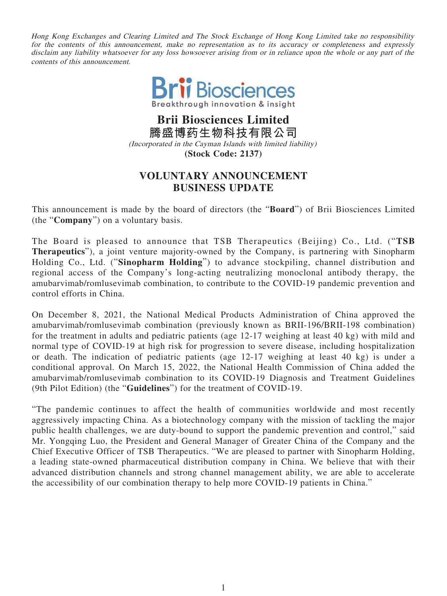Hong Kong Exchanges and Clearing Limited and The Stock Exchange of Hong Kong Limited take no responsibility for the contents of this announcement, make no representation as to its accuracy or completeness and expressly disclaim any liability whatsoever for any loss howsoever arising from or in reliance upon the whole or any part of the contents of this announcement.



**Brii Biosciences Limited 騰盛博藥生物科技有限公司** (Incorporated in the Cayman Islands with limited liability) **(Stock Code: 2137)**

## **VOLUNTARY ANNOUNCEMENT BUSINESS UPDATE**

This announcement is made by the board of directors (the "**Board**") of Brii Biosciences Limited (the "**Company**") on a voluntary basis.

The Board is pleased to announce that TSB Therapeutics (Beijing) Co., Ltd. ("**TSB Therapeutics**"), a joint venture majority-owned by the Company, is partnering with Sinopharm Holding Co., Ltd. ("**Sinopharm Holding**") to advance stockpiling, channel distribution and regional access of the Company's long-acting neutralizing monoclonal antibody therapy, the amubarvimab/romlusevimab combination, to contribute to the COVID-19 pandemic prevention and control efforts in China.

On December 8, 2021, the National Medical Products Administration of China approved the amubarvimab/romlusevimab combination (previously known as BRII-196/BRII-198 combination) for the treatment in adults and pediatric patients (age 12-17 weighing at least 40 kg) with mild and normal type of COVID-19 at high risk for progression to severe disease, including hospitalization or death. The indication of pediatric patients (age 12-17 weighing at least 40 kg) is under a conditional approval. On March 15, 2022, the National Health Commission of China added the amubarvimab/romlusevimab combination to its COVID-19 Diagnosis and Treatment Guidelines (9th Pilot Edition) (the "**Guidelines**") for the treatment of COVID-19.

"The pandemic continues to affect the health of communities worldwide and most recently aggressively impacting China. As a biotechnology company with the mission of tackling the major public health challenges, we are duty-bound to support the pandemic prevention and control," said Mr. Yongqing Luo, the President and General Manager of Greater China of the Company and the Chief Executive Officer of TSB Therapeutics. "We are pleased to partner with Sinopharm Holding, a leading state-owned pharmaceutical distribution company in China. We believe that with their advanced distribution channels and strong channel management ability, we are able to accelerate the accessibility of our combination therapy to help more COVID-19 patients in China."